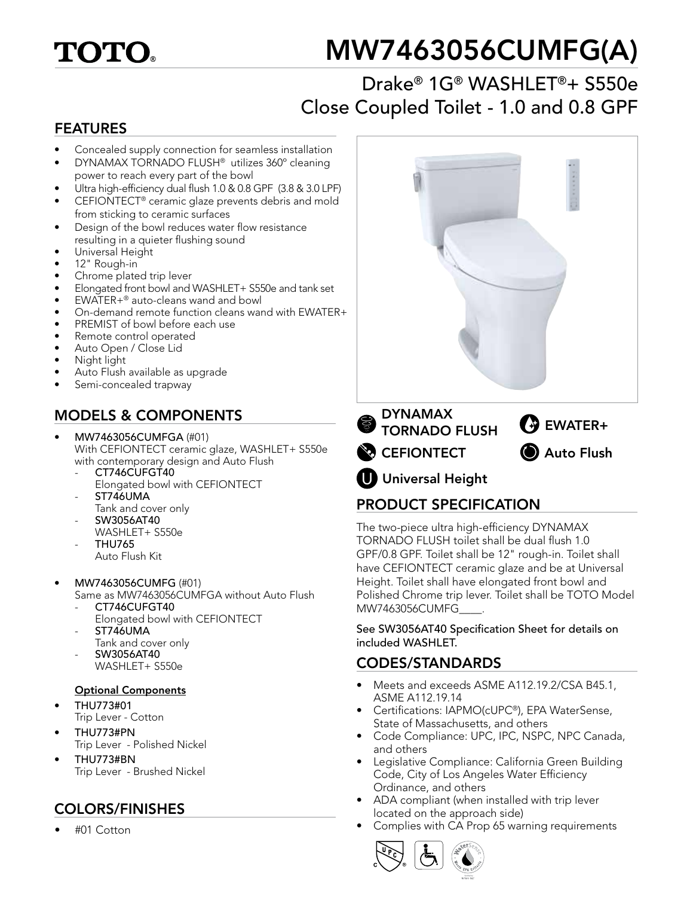## **TOTO**

# MW7463056CUMFG(A)

## Drake® 1G® WASHLET®+ S550e Close Coupled Toilet - 1.0 and 0.8 GPF

#### FEATURES

- Concealed supply connection for seamless installation
- DYNAMAX TORNADO FLUSH® utilizes 360º cleaning power to reach every part of the bowl
- Ultra high-efficiency dual flush 1.0 & 0.8 GPF (3.8 & 3.0 LPF)
- CEFIONTECT® ceramic glaze prevents debris and mold from sticking to ceramic surfaces
- Design of the bowl reduces water flow resistance resulting in a quieter flushing sound
- Universal Height
- 12" Rough-in
- Chrome plated trip lever
- Elongated front bowl and WASHLET+ S550e and tank set
- EWATER+® auto-cleans wand and bowl
- On-demand remote function cleans wand with EWATER+
- PREMIST of bowl before each use
- Remote control operated
- Auto Open / Close Lid
- Night light
- Auto Flush available as upgrade
- Semi-concealed trapway

### MODELS & COMPONENTS

- MW7463056CUMFGA (#01) With CEFIONTECT ceramic glaze, WASHLET+ S550e with contemporary design and Auto Flush
	- CT746CUFGT40
		- Elongated bowl with CEFIONTECT ST746UMA
	- Tank and cover only
	- SW3056AT40 WASHLET+ S550e
	- THU765 Auto Flush Kit
- MW7463056CUMFG (#01)
	- Same as MW7463056CUMFGA without Auto Flush CT746CUFGT40
		- Elongated bowl with CEFIONTECT
	- ST746UMA
	- Tank and cover only - SW3056AT40 WASHLET+ S550e
	-
	- Optional Components
- THU773#01 Trip Lever - Cotton
- THU773#PN Trip Lever - Polished Nickel
- THU773#BN Trip Lever - Brushed Nickel

## COLORS/FINISHES

• #01 Cotton



### PRODUCT SPECIFICATION

The two-piece ultra high-efficiency DYNAMAX TORNADO FLUSH toilet shall be dual flush 1.0 GPF/0.8 GPF. Toilet shall be 12" rough-in. Toilet shall have CEFIONTECT ceramic glaze and be at Universal Height. Toilet shall have elongated front bowl and Polished Chrome trip lever. Toilet shall be TOTO Model MW7463056CUMFG\_\_\_\_.

See SW3056AT40 Specification Sheet for details on included WASHLET.

#### CODES/STANDARDS

- Meets and exceeds ASME A112.19.2/CSA B45.1, ASME A112.19.14
- Certifications: IAPMO(cUPC®), EPA WaterSense, State of Massachusetts, and others
- Code Compliance: UPC, IPC, NSPC, NPC Canada, and others
- Legislative Compliance: California Green Building Code, City of Los Angeles Water Efficiency Ordinance, and others
- ADA compliant (when installed with trip lever located on the approach side)
- Complies with CA Prop 65 warning requirements